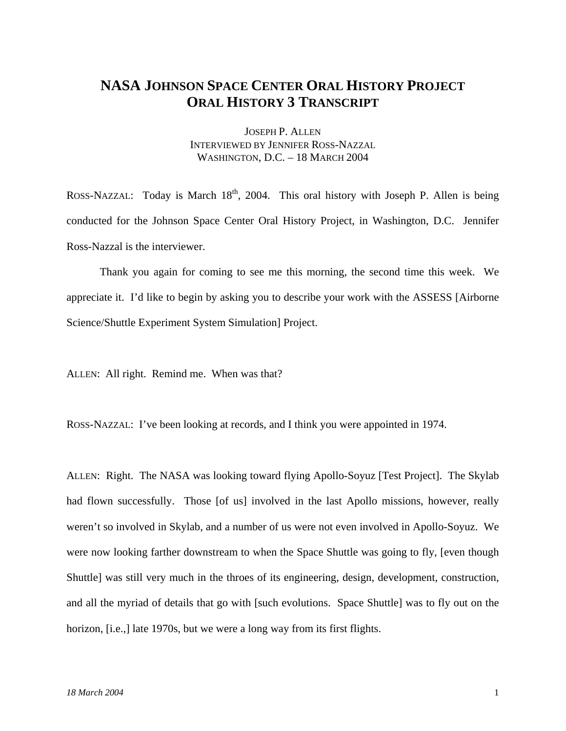## **NASA JOHNSON SPACE CENTER ORAL HISTORY PROJECT ORAL HISTORY 3 TRANSCRIPT**

JOSEPH P. ALLEN INTERVIEWED BY JENNIFER ROSS-NAZZAL WASHINGTON, D.C. – 18 MARCH 2004

ROSS-NAZZAL: Today is March  $18<sup>th</sup>$ , 2004. This oral history with Joseph P. Allen is being conducted for the Johnson Space Center Oral History Project, in Washington, D.C. Jennifer Ross-Nazzal is the interviewer.

 Thank you again for coming to see me this morning, the second time this week. We appreciate it. I'd like to begin by asking you to describe your work with the ASSESS [Airborne Science/Shuttle Experiment System Simulation] Project.

ALLEN: All right. Remind me. When was that?

ROSS-NAZZAL: I've been looking at records, and I think you were appointed in 1974.

ALLEN: Right. The NASA was looking toward flying Apollo-Soyuz [Test Project]. The Skylab had flown successfully. Those [of us] involved in the last Apollo missions, however, really weren't so involved in Skylab, and a number of us were not even involved in Apollo-Soyuz. We were now looking farther downstream to when the Space Shuttle was going to fly, [even though Shuttle] was still very much in the throes of its engineering, design, development, construction, and all the myriad of details that go with [such evolutions. Space Shuttle] was to fly out on the horizon, [i.e.,] late 1970s, but we were a long way from its first flights.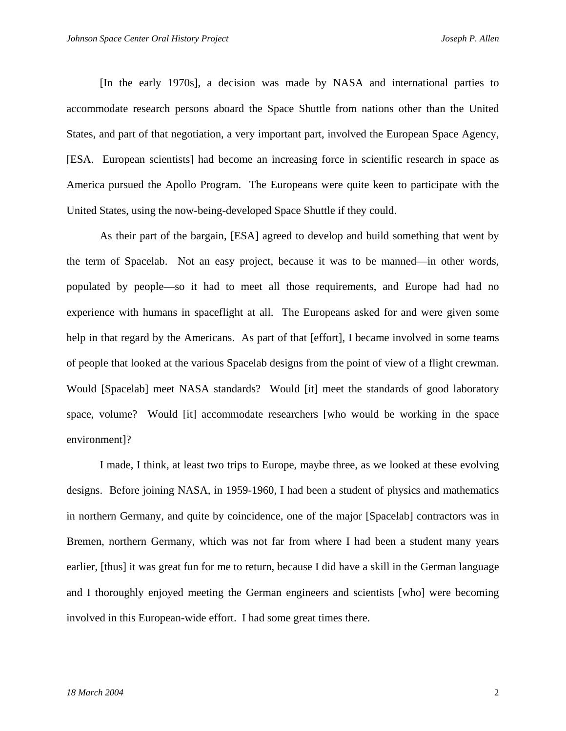[In the early 1970s], a decision was made by NASA and international parties to accommodate research persons aboard the Space Shuttle from nations other than the United States, and part of that negotiation, a very important part, involved the European Space Agency, [ESA. European scientists] had become an increasing force in scientific research in space as America pursued the Apollo Program. The Europeans were quite keen to participate with the United States, using the now-being-developed Space Shuttle if they could.

As their part of the bargain, [ESA] agreed to develop and build something that went by the term of Spacelab. Not an easy project, because it was to be manned—in other words, populated by people—so it had to meet all those requirements, and Europe had had no experience with humans in spaceflight at all. The Europeans asked for and were given some help in that regard by the Americans. As part of that [effort], I became involved in some teams of people that looked at the various Spacelab designs from the point of view of a flight crewman. Would [Spacelab] meet NASA standards? Would [it] meet the standards of good laboratory space, volume? Would [it] accommodate researchers [who would be working in the space environment]?

I made, I think, at least two trips to Europe, maybe three, as we looked at these evolving designs. Before joining NASA, in 1959-1960, I had been a student of physics and mathematics in northern Germany, and quite by coincidence, one of the major [Spacelab] contractors was in Bremen, northern Germany, which was not far from where I had been a student many years earlier, [thus] it was great fun for me to return, because I did have a skill in the German language and I thoroughly enjoyed meeting the German engineers and scientists [who] were becoming involved in this European-wide effort. I had some great times there.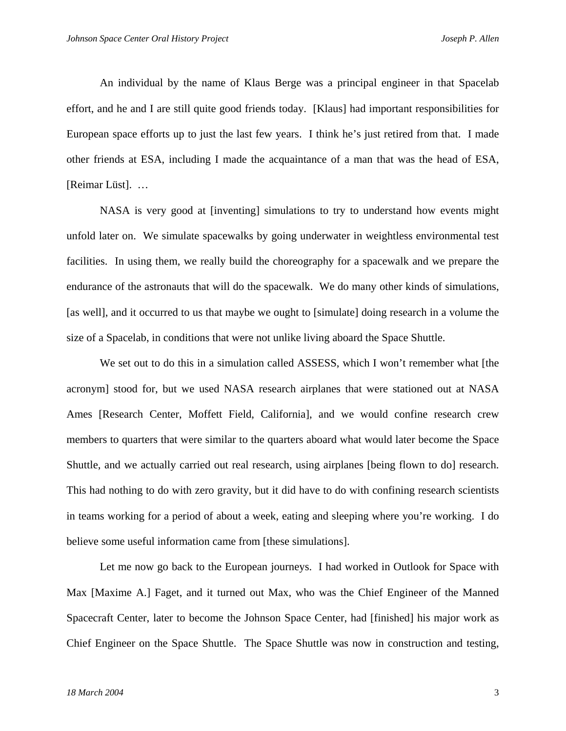An individual by the name of Klaus Berge was a principal engineer in that Spacelab effort, and he and I are still quite good friends today. [Klaus] had important responsibilities for European space efforts up to just the last few years. I think he's just retired from that. I made other friends at ESA, including I made the acquaintance of a man that was the head of ESA, [Reimar Lüst]. …

NASA is very good at [inventing] simulations to try to understand how events might unfold later on. We simulate spacewalks by going underwater in weightless environmental test facilities. In using them, we really build the choreography for a spacewalk and we prepare the endurance of the astronauts that will do the spacewalk. We do many other kinds of simulations, [as well], and it occurred to us that maybe we ought to [simulate] doing research in a volume the size of a Spacelab, in conditions that were not unlike living aboard the Space Shuttle.

We set out to do this in a simulation called ASSESS, which I won't remember what [the acronym] stood for, but we used NASA research airplanes that were stationed out at NASA Ames [Research Center, Moffett Field, California], and we would confine research crew members to quarters that were similar to the quarters aboard what would later become the Space Shuttle, and we actually carried out real research, using airplanes [being flown to do] research. This had nothing to do with zero gravity, but it did have to do with confining research scientists in teams working for a period of about a week, eating and sleeping where you're working. I do believe some useful information came from [these simulations].

Let me now go back to the European journeys. I had worked in Outlook for Space with Max [Maxime A.] Faget, and it turned out Max, who was the Chief Engineer of the Manned Spacecraft Center, later to become the Johnson Space Center, had [finished] his major work as Chief Engineer on the Space Shuttle. The Space Shuttle was now in construction and testing,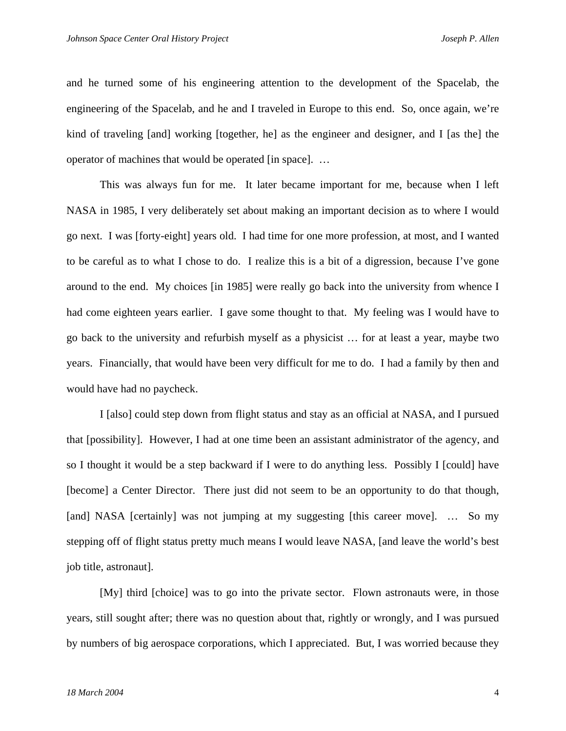and he turned some of his engineering attention to the development of the Spacelab, the engineering of the Spacelab, and he and I traveled in Europe to this end. So, once again, we're kind of traveling [and] working [together, he] as the engineer and designer, and I [as the] the operator of machines that would be operated [in space]. …

This was always fun for me. It later became important for me, because when I left NASA in 1985, I very deliberately set about making an important decision as to where I would go next. I was [forty-eight] years old. I had time for one more profession, at most, and I wanted to be careful as to what I chose to do. I realize this is a bit of a digression, because I've gone around to the end. My choices [in 1985] were really go back into the university from whence I had come eighteen years earlier. I gave some thought to that. My feeling was I would have to go back to the university and refurbish myself as a physicist … for at least a year, maybe two years. Financially, that would have been very difficult for me to do. I had a family by then and would have had no paycheck.

I [also] could step down from flight status and stay as an official at NASA, and I pursued that [possibility]. However, I had at one time been an assistant administrator of the agency, and so I thought it would be a step backward if I were to do anything less. Possibly I [could] have [become] a Center Director. There just did not seem to be an opportunity to do that though, [and] NASA [certainly] was not jumping at my suggesting [this career move]. ... So my stepping off of flight status pretty much means I would leave NASA, [and leave the world's best job title, astronaut].

[My] third [choice] was to go into the private sector. Flown astronauts were, in those years, still sought after; there was no question about that, rightly or wrongly, and I was pursued by numbers of big aerospace corporations, which I appreciated. But, I was worried because they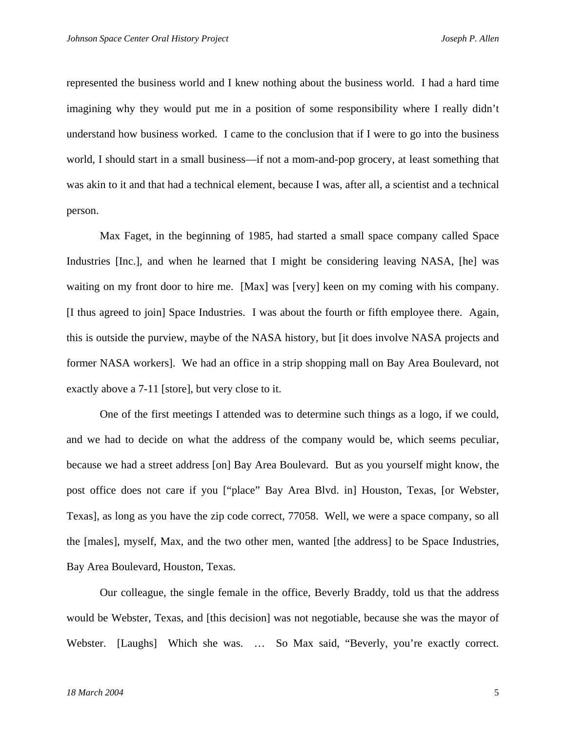represented the business world and I knew nothing about the business world. I had a hard time imagining why they would put me in a position of some responsibility where I really didn't understand how business worked. I came to the conclusion that if I were to go into the business world, I should start in a small business—if not a mom-and-pop grocery, at least something that was akin to it and that had a technical element, because I was, after all, a scientist and a technical person.

Max Faget, in the beginning of 1985, had started a small space company called Space Industries [Inc.], and when he learned that I might be considering leaving NASA, [he] was waiting on my front door to hire me. [Max] was [very] keen on my coming with his company. [I thus agreed to join] Space Industries. I was about the fourth or fifth employee there. Again, this is outside the purview, maybe of the NASA history, but [it does involve NASA projects and former NASA workers]. We had an office in a strip shopping mall on Bay Area Boulevard, not exactly above a 7-11 [store], but very close to it.

One of the first meetings I attended was to determine such things as a logo, if we could, and we had to decide on what the address of the company would be, which seems peculiar, because we had a street address [on] Bay Area Boulevard. But as you yourself might know, the post office does not care if you ["place" Bay Area Blvd. in] Houston, Texas, [or Webster, Texas], as long as you have the zip code correct, 77058. Well, we were a space company, so all the [males], myself, Max, and the two other men, wanted [the address] to be Space Industries, Bay Area Boulevard, Houston, Texas.

Our colleague, the single female in the office, Beverly Braddy, told us that the address would be Webster, Texas, and [this decision] was not negotiable, because she was the mayor of Webster. [Laughs] Which she was. ... So Max said, "Beverly, you're exactly correct.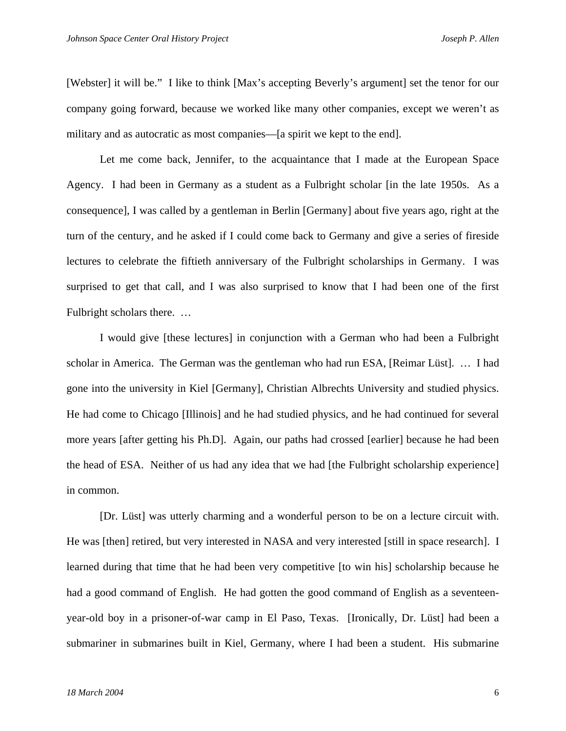[Webster] it will be." I like to think [Max's accepting Beverly's argument] set the tenor for our company going forward, because we worked like many other companies, except we weren't as military and as autocratic as most companies—[a spirit we kept to the end].

Let me come back, Jennifer, to the acquaintance that I made at the European Space Agency. I had been in Germany as a student as a Fulbright scholar [in the late 1950s. As a consequence], I was called by a gentleman in Berlin [Germany] about five years ago, right at the turn of the century, and he asked if I could come back to Germany and give a series of fireside lectures to celebrate the fiftieth anniversary of the Fulbright scholarships in Germany. I was surprised to get that call, and I was also surprised to know that I had been one of the first Fulbright scholars there. …

I would give [these lectures] in conjunction with a German who had been a Fulbright scholar in America. The German was the gentleman who had run ESA, [Reimar Lüst]. … I had gone into the university in Kiel [Germany], Christian Albrechts University and studied physics. He had come to Chicago [Illinois] and he had studied physics, and he had continued for several more years [after getting his Ph.D]. Again, our paths had crossed [earlier] because he had been the head of ESA. Neither of us had any idea that we had [the Fulbright scholarship experience] in common.

[Dr. Lüst] was utterly charming and a wonderful person to be on a lecture circuit with. He was [then] retired, but very interested in NASA and very interested [still in space research]. I learned during that time that he had been very competitive [to win his] scholarship because he had a good command of English. He had gotten the good command of English as a seventeenyear-old boy in a prisoner-of-war camp in El Paso, Texas. [Ironically, Dr. Lüst] had been a submariner in submarines built in Kiel, Germany, where I had been a student. His submarine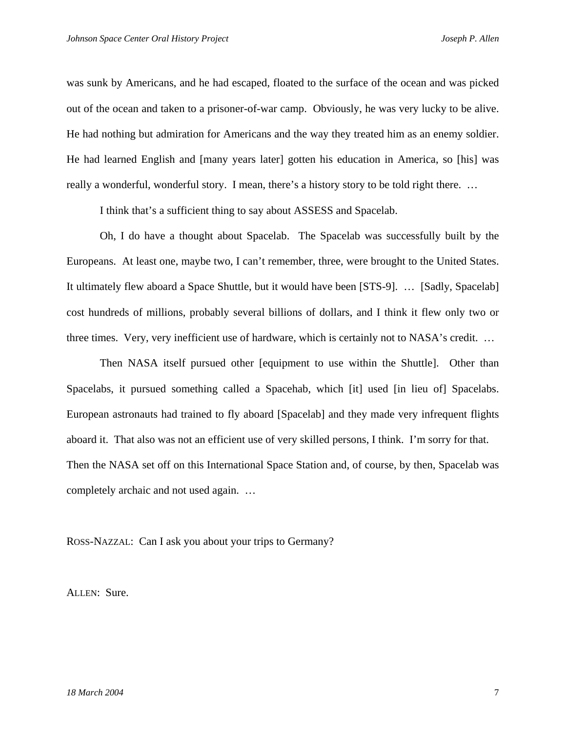was sunk by Americans, and he had escaped, floated to the surface of the ocean and was picked out of the ocean and taken to a prisoner-of-war camp. Obviously, he was very lucky to be alive. He had nothing but admiration for Americans and the way they treated him as an enemy soldier. He had learned English and [many years later] gotten his education in America, so [his] was really a wonderful, wonderful story. I mean, there's a history story to be told right there. …

I think that's a sufficient thing to say about ASSESS and Spacelab.

Oh, I do have a thought about Spacelab. The Spacelab was successfully built by the Europeans. At least one, maybe two, I can't remember, three, were brought to the United States. It ultimately flew aboard a Space Shuttle, but it would have been [STS-9]. … [Sadly, Spacelab] cost hundreds of millions, probably several billions of dollars, and I think it flew only two or three times. Very, very inefficient use of hardware, which is certainly not to NASA's credit. …

Then NASA itself pursued other [equipment to use within the Shuttle]. Other than Spacelabs, it pursued something called a Spacehab, which [it] used [in lieu of] Spacelabs. European astronauts had trained to fly aboard [Spacelab] and they made very infrequent flights aboard it. That also was not an efficient use of very skilled persons, I think. I'm sorry for that. Then the NASA set off on this International Space Station and, of course, by then, Spacelab was completely archaic and not used again. …

ROSS-NAZZAL: Can I ask you about your trips to Germany?

ALLEN: Sure.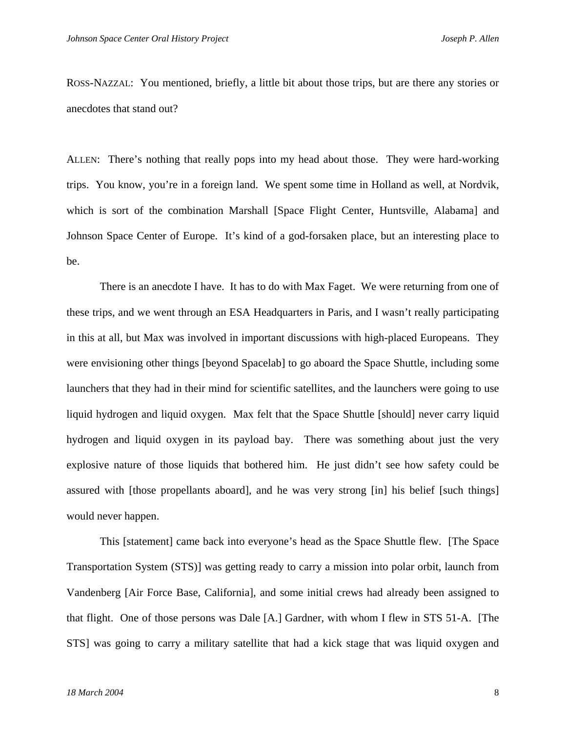ROSS-NAZZAL: You mentioned, briefly, a little bit about those trips, but are there any stories or anecdotes that stand out?

ALLEN: There's nothing that really pops into my head about those. They were hard-working trips. You know, you're in a foreign land. We spent some time in Holland as well, at Nordvik, which is sort of the combination Marshall [Space Flight Center, Huntsville, Alabama] and Johnson Space Center of Europe. It's kind of a god-forsaken place, but an interesting place to be.

 There is an anecdote I have. It has to do with Max Faget. We were returning from one of these trips, and we went through an ESA Headquarters in Paris, and I wasn't really participating in this at all, but Max was involved in important discussions with high-placed Europeans. They were envisioning other things [beyond Spacelab] to go aboard the Space Shuttle, including some launchers that they had in their mind for scientific satellites, and the launchers were going to use liquid hydrogen and liquid oxygen. Max felt that the Space Shuttle [should] never carry liquid hydrogen and liquid oxygen in its payload bay. There was something about just the very explosive nature of those liquids that bothered him. He just didn't see how safety could be assured with [those propellants aboard], and he was very strong [in] his belief [such things] would never happen.

 This [statement] came back into everyone's head as the Space Shuttle flew. [The Space Transportation System (STS)] was getting ready to carry a mission into polar orbit, launch from Vandenberg [Air Force Base, California], and some initial crews had already been assigned to that flight. One of those persons was Dale [A.] Gardner, with whom I flew in STS 51-A. [The STS] was going to carry a military satellite that had a kick stage that was liquid oxygen and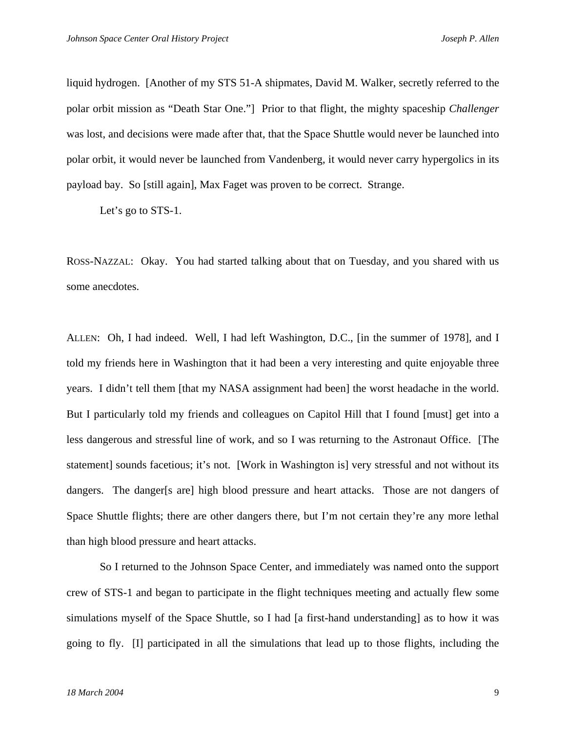liquid hydrogen. [Another of my STS 51-A shipmates, David M. Walker, secretly referred to the polar orbit mission as "Death Star One."] Prior to that flight, the mighty spaceship *Challenger* was lost, and decisions were made after that, that the Space Shuttle would never be launched into polar orbit, it would never be launched from Vandenberg, it would never carry hypergolics in its payload bay. So [still again], Max Faget was proven to be correct. Strange.

Let's go to STS-1.

ROSS-NAZZAL: Okay. You had started talking about that on Tuesday, and you shared with us some anecdotes.

ALLEN: Oh, I had indeed. Well, I had left Washington, D.C., [in the summer of 1978], and I told my friends here in Washington that it had been a very interesting and quite enjoyable three years. I didn't tell them [that my NASA assignment had been] the worst headache in the world. But I particularly told my friends and colleagues on Capitol Hill that I found [must] get into a less dangerous and stressful line of work, and so I was returning to the Astronaut Office. [The statement] sounds facetious; it's not. [Work in Washington is] very stressful and not without its dangers. The danger [s are] high blood pressure and heart attacks. Those are not dangers of Space Shuttle flights; there are other dangers there, but I'm not certain they're any more lethal than high blood pressure and heart attacks.

 So I returned to the Johnson Space Center, and immediately was named onto the support crew of STS-1 and began to participate in the flight techniques meeting and actually flew some simulations myself of the Space Shuttle, so I had [a first-hand understanding] as to how it was going to fly. [I] participated in all the simulations that lead up to those flights, including the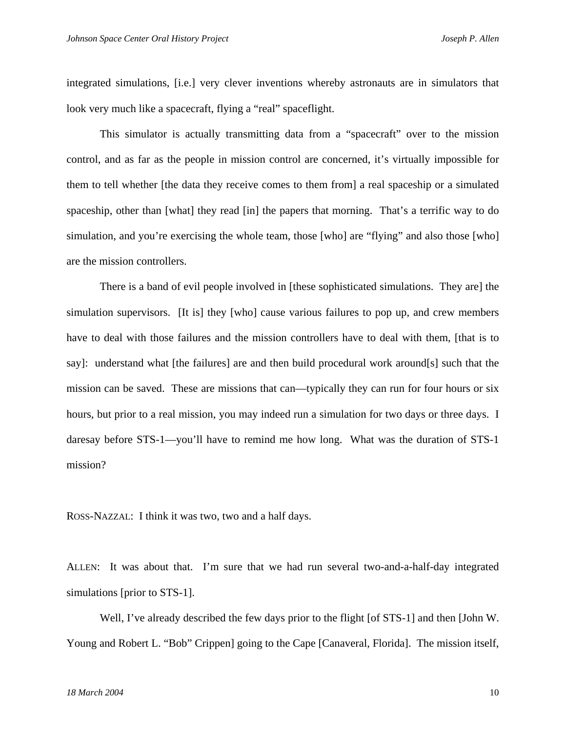integrated simulations, [i.e.] very clever inventions whereby astronauts are in simulators that look very much like a spacecraft, flying a "real" spaceflight.

This simulator is actually transmitting data from a "spacecraft" over to the mission control, and as far as the people in mission control are concerned, it's virtually impossible for them to tell whether [the data they receive comes to them from] a real spaceship or a simulated spaceship, other than [what] they read [in] the papers that morning. That's a terrific way to do simulation, and you're exercising the whole team, those [who] are "flying" and also those [who] are the mission controllers.

There is a band of evil people involved in [these sophisticated simulations. They are] the simulation supervisors. [It is] they [who] cause various failures to pop up, and crew members have to deal with those failures and the mission controllers have to deal with them, [that is to say]: understand what [the failures] are and then build procedural work around[s] such that the mission can be saved. These are missions that can—typically they can run for four hours or six hours, but prior to a real mission, you may indeed run a simulation for two days or three days. I daresay before STS-1—you'll have to remind me how long. What was the duration of STS-1 mission?

ROSS-NAZZAL: I think it was two, two and a half days.

ALLEN: It was about that. I'm sure that we had run several two-and-a-half-day integrated simulations [prior to STS-1].

 Well, I've already described the few days prior to the flight [of STS-1] and then [John W. Young and Robert L. "Bob" Crippen] going to the Cape [Canaveral, Florida]. The mission itself,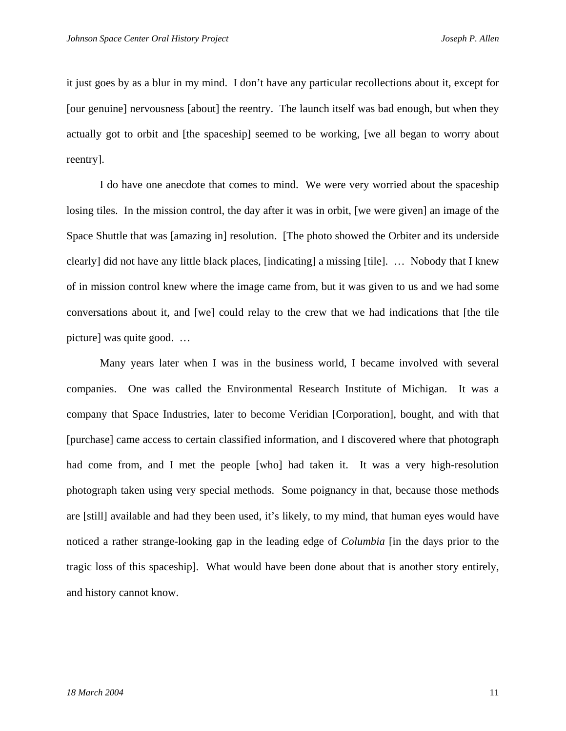it just goes by as a blur in my mind. I don't have any particular recollections about it, except for [our genuine] nervousness [about] the reentry. The launch itself was bad enough, but when they actually got to orbit and [the spaceship] seemed to be working, [we all began to worry about reentry].

 I do have one anecdote that comes to mind. We were very worried about the spaceship losing tiles. In the mission control, the day after it was in orbit, [we were given] an image of the Space Shuttle that was [amazing in] resolution. [The photo showed the Orbiter and its underside clearly] did not have any little black places, [indicating] a missing [tile]. … Nobody that I knew of in mission control knew where the image came from, but it was given to us and we had some conversations about it, and [we] could relay to the crew that we had indications that [the tile picture] was quite good. …

 Many years later when I was in the business world, I became involved with several companies. One was called the Environmental Research Institute of Michigan. It was a company that Space Industries, later to become Veridian [Corporation], bought, and with that [purchase] came access to certain classified information, and I discovered where that photograph had come from, and I met the people [who] had taken it. It was a very high-resolution photograph taken using very special methods. Some poignancy in that, because those methods are [still] available and had they been used, it's likely, to my mind, that human eyes would have noticed a rather strange-looking gap in the leading edge of *Columbia* [in the days prior to the tragic loss of this spaceship]. What would have been done about that is another story entirely, and history cannot know.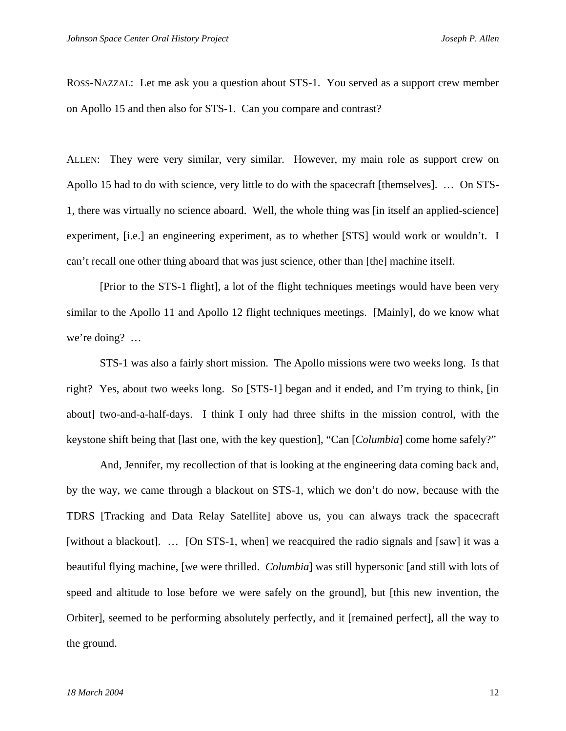ROSS-NAZZAL: Let me ask you a question about STS-1. You served as a support crew member on Apollo 15 and then also for STS-1. Can you compare and contrast?

ALLEN: They were very similar, very similar. However, my main role as support crew on Apollo 15 had to do with science, very little to do with the spacecraft [themselves]. … On STS-1, there was virtually no science aboard. Well, the whole thing was [in itself an applied-science] experiment, [i.e.] an engineering experiment, as to whether [STS] would work or wouldn't. I can't recall one other thing aboard that was just science, other than [the] machine itself.

[Prior to the STS-1 flight], a lot of the flight techniques meetings would have been very similar to the Apollo 11 and Apollo 12 flight techniques meetings. [Mainly], do we know what we're doing? …

STS-1 was also a fairly short mission. The Apollo missions were two weeks long. Is that right? Yes, about two weeks long. So [STS-1] began and it ended, and I'm trying to think, [in about] two-and-a-half-days. I think I only had three shifts in the mission control, with the keystone shift being that [last one, with the key question], "Can [*Columbia*] come home safely?"

And, Jennifer, my recollection of that is looking at the engineering data coming back and, by the way, we came through a blackout on STS-1, which we don't do now, because with the TDRS [Tracking and Data Relay Satellite] above us, you can always track the spacecraft [without a blackout]. ... [On STS-1, when] we reacquired the radio signals and [saw] it was a beautiful flying machine, [we were thrilled. *Columbia*] was still hypersonic [and still with lots of speed and altitude to lose before we were safely on the ground], but [this new invention, the Orbiter], seemed to be performing absolutely perfectly, and it [remained perfect], all the way to the ground.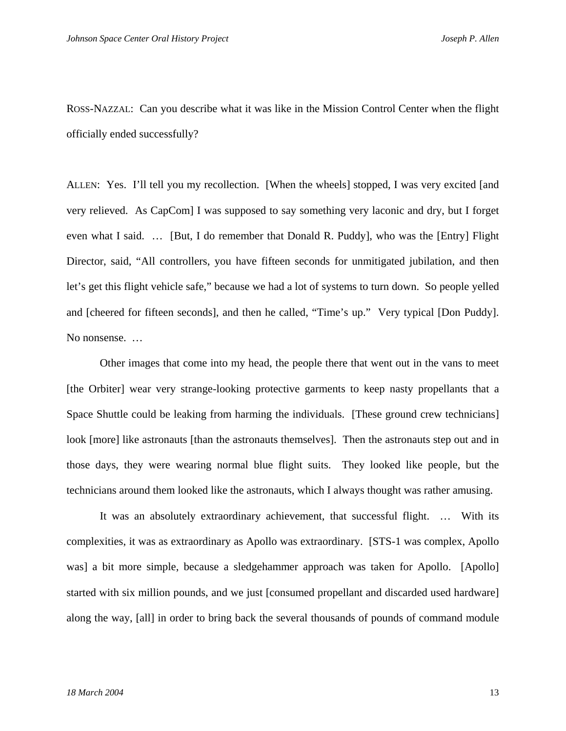ROSS-NAZZAL: Can you describe what it was like in the Mission Control Center when the flight officially ended successfully?

ALLEN: Yes. I'll tell you my recollection. [When the wheels] stopped, I was very excited [and very relieved. As CapCom] I was supposed to say something very laconic and dry, but I forget even what I said. … [But, I do remember that Donald R. Puddy], who was the [Entry] Flight Director, said, "All controllers, you have fifteen seconds for unmitigated jubilation, and then let's get this flight vehicle safe," because we had a lot of systems to turn down. So people yelled and [cheered for fifteen seconds], and then he called, "Time's up." Very typical [Don Puddy]. No nonsense. …

 Other images that come into my head, the people there that went out in the vans to meet [the Orbiter] wear very strange-looking protective garments to keep nasty propellants that a Space Shuttle could be leaking from harming the individuals. [These ground crew technicians] look [more] like astronauts [than the astronauts themselves]. Then the astronauts step out and in those days, they were wearing normal blue flight suits. They looked like people, but the technicians around them looked like the astronauts, which I always thought was rather amusing.

 It was an absolutely extraordinary achievement, that successful flight. … With its complexities, it was as extraordinary as Apollo was extraordinary. [STS-1 was complex, Apollo was] a bit more simple, because a sledgehammer approach was taken for Apollo. [Apollo] started with six million pounds, and we just [consumed propellant and discarded used hardware] along the way, [all] in order to bring back the several thousands of pounds of command module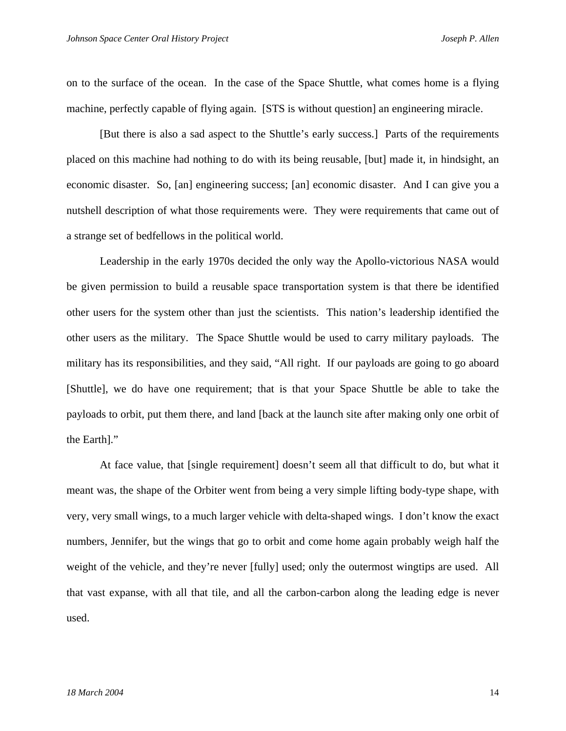on to the surface of the ocean. In the case of the Space Shuttle, what comes home is a flying machine, perfectly capable of flying again. [STS is without question] an engineering miracle.

 [But there is also a sad aspect to the Shuttle's early success.] Parts of the requirements placed on this machine had nothing to do with its being reusable, [but] made it, in hindsight, an economic disaster. So, [an] engineering success; [an] economic disaster. And I can give you a nutshell description of what those requirements were. They were requirements that came out of a strange set of bedfellows in the political world.

Leadership in the early 1970s decided the only way the Apollo-victorious NASA would be given permission to build a reusable space transportation system is that there be identified other users for the system other than just the scientists. This nation's leadership identified the other users as the military. The Space Shuttle would be used to carry military payloads. The military has its responsibilities, and they said, "All right. If our payloads are going to go aboard [Shuttle], we do have one requirement; that is that your Space Shuttle be able to take the payloads to orbit, put them there, and land [back at the launch site after making only one orbit of the Earth]."

At face value, that [single requirement] doesn't seem all that difficult to do, but what it meant was, the shape of the Orbiter went from being a very simple lifting body-type shape, with very, very small wings, to a much larger vehicle with delta-shaped wings. I don't know the exact numbers, Jennifer, but the wings that go to orbit and come home again probably weigh half the weight of the vehicle, and they're never [fully] used; only the outermost wingtips are used. All that vast expanse, with all that tile, and all the carbon-carbon along the leading edge is never used.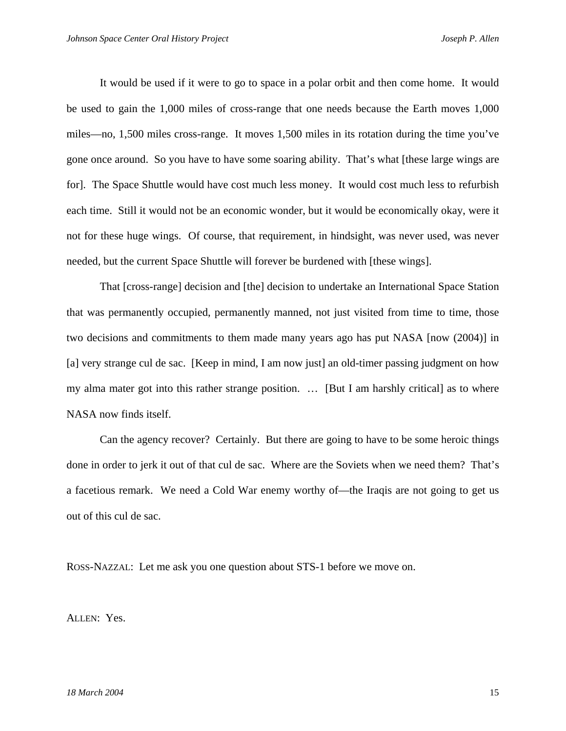It would be used if it were to go to space in a polar orbit and then come home. It would be used to gain the 1,000 miles of cross-range that one needs because the Earth moves 1,000 miles—no, 1,500 miles cross-range. It moves 1,500 miles in its rotation during the time you've gone once around. So you have to have some soaring ability. That's what [these large wings are for]. The Space Shuttle would have cost much less money. It would cost much less to refurbish each time. Still it would not be an economic wonder, but it would be economically okay, were it not for these huge wings. Of course, that requirement, in hindsight, was never used, was never needed, but the current Space Shuttle will forever be burdened with [these wings].

That [cross-range] decision and [the] decision to undertake an International Space Station that was permanently occupied, permanently manned, not just visited from time to time, those two decisions and commitments to them made many years ago has put NASA [now (2004)] in [a] very strange cul de sac. [Keep in mind, I am now just] an old-timer passing judgment on how my alma mater got into this rather strange position. … [But I am harshly critical] as to where NASA now finds itself.

Can the agency recover? Certainly. But there are going to have to be some heroic things done in order to jerk it out of that cul de sac. Where are the Soviets when we need them? That's a facetious remark. We need a Cold War enemy worthy of—the Iraqis are not going to get us out of this cul de sac.

ROSS-NAZZAL: Let me ask you one question about STS-1 before we move on.

ALLEN: Yes.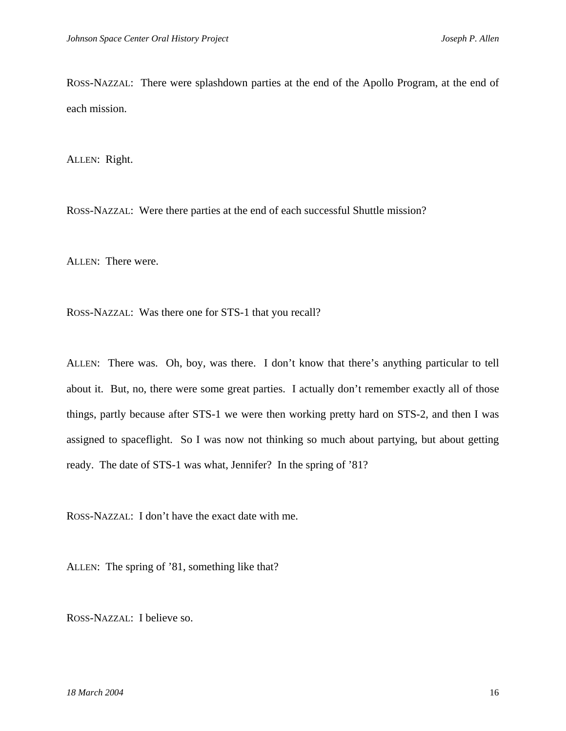ROSS-NAZZAL: There were splashdown parties at the end of the Apollo Program, at the end of each mission.

ALLEN: Right.

ROSS-NAZZAL: Were there parties at the end of each successful Shuttle mission?

ALLEN: There were.

ROSS-NAZZAL: Was there one for STS-1 that you recall?

ALLEN: There was. Oh, boy, was there. I don't know that there's anything particular to tell about it. But, no, there were some great parties. I actually don't remember exactly all of those things, partly because after STS-1 we were then working pretty hard on STS-2, and then I was assigned to spaceflight. So I was now not thinking so much about partying, but about getting ready. The date of STS-1 was what, Jennifer? In the spring of '81?

ROSS-NAZZAL: I don't have the exact date with me.

ALLEN: The spring of '81, something like that?

ROSS-NAZZAL: I believe so.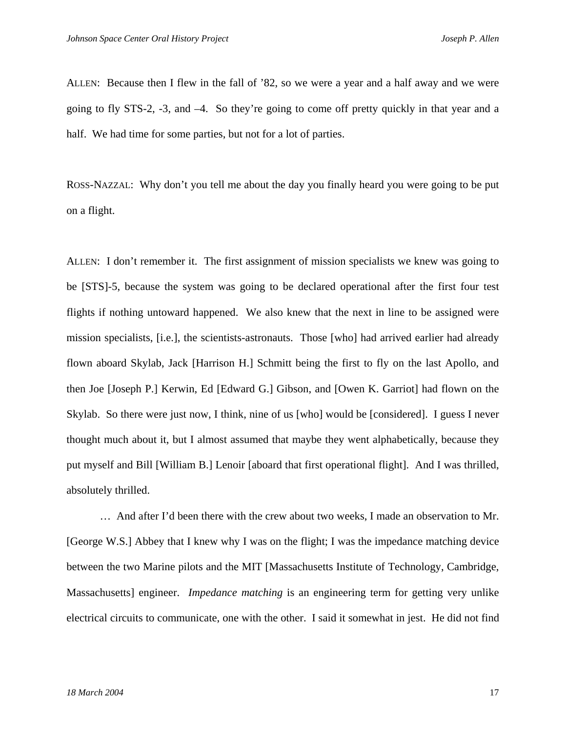ALLEN: Because then I flew in the fall of '82, so we were a year and a half away and we were going to fly STS-2, -3, and –4. So they're going to come off pretty quickly in that year and a half. We had time for some parties, but not for a lot of parties.

ROSS-NAZZAL: Why don't you tell me about the day you finally heard you were going to be put on a flight.

ALLEN: I don't remember it. The first assignment of mission specialists we knew was going to be [STS]-5, because the system was going to be declared operational after the first four test flights if nothing untoward happened. We also knew that the next in line to be assigned were mission specialists, [i.e.], the scientists-astronauts. Those [who] had arrived earlier had already flown aboard Skylab, Jack [Harrison H.] Schmitt being the first to fly on the last Apollo, and then Joe [Joseph P.] Kerwin, Ed [Edward G.] Gibson, and [Owen K. Garriot] had flown on the Skylab. So there were just now, I think, nine of us [who] would be [considered]. I guess I never thought much about it, but I almost assumed that maybe they went alphabetically, because they put myself and Bill [William B.] Lenoir [aboard that first operational flight]. And I was thrilled, absolutely thrilled.

 … And after I'd been there with the crew about two weeks, I made an observation to Mr. [George W.S.] Abbey that I knew why I was on the flight; I was the impedance matching device between the two Marine pilots and the MIT [Massachusetts Institute of Technology, Cambridge, Massachusetts] engineer. *Impedance matching* is an engineering term for getting very unlike electrical circuits to communicate, one with the other. I said it somewhat in jest. He did not find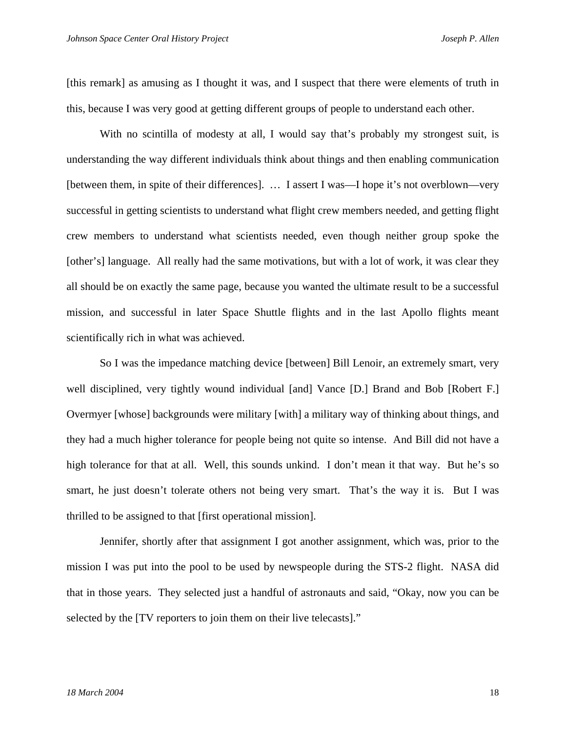[this remark] as amusing as I thought it was, and I suspect that there were elements of truth in this, because I was very good at getting different groups of people to understand each other.

With no scintilla of modesty at all, I would say that's probably my strongest suit, is understanding the way different individuals think about things and then enabling communication [between them, in spite of their differences]. … I assert I was—I hope it's not overblown—very successful in getting scientists to understand what flight crew members needed, and getting flight crew members to understand what scientists needed, even though neither group spoke the [other's] language. All really had the same motivations, but with a lot of work, it was clear they all should be on exactly the same page, because you wanted the ultimate result to be a successful mission, and successful in later Space Shuttle flights and in the last Apollo flights meant scientifically rich in what was achieved.

So I was the impedance matching device [between] Bill Lenoir, an extremely smart, very well disciplined, very tightly wound individual [and] Vance [D.] Brand and Bob [Robert F.] Overmyer [whose] backgrounds were military [with] a military way of thinking about things, and they had a much higher tolerance for people being not quite so intense. And Bill did not have a high tolerance for that at all. Well, this sounds unkind. I don't mean it that way. But he's so smart, he just doesn't tolerate others not being very smart. That's the way it is. But I was thrilled to be assigned to that [first operational mission].

Jennifer, shortly after that assignment I got another assignment, which was, prior to the mission I was put into the pool to be used by newspeople during the STS-2 flight. NASA did that in those years. They selected just a handful of astronauts and said, "Okay, now you can be selected by the [TV reporters to join them on their live telecasts]."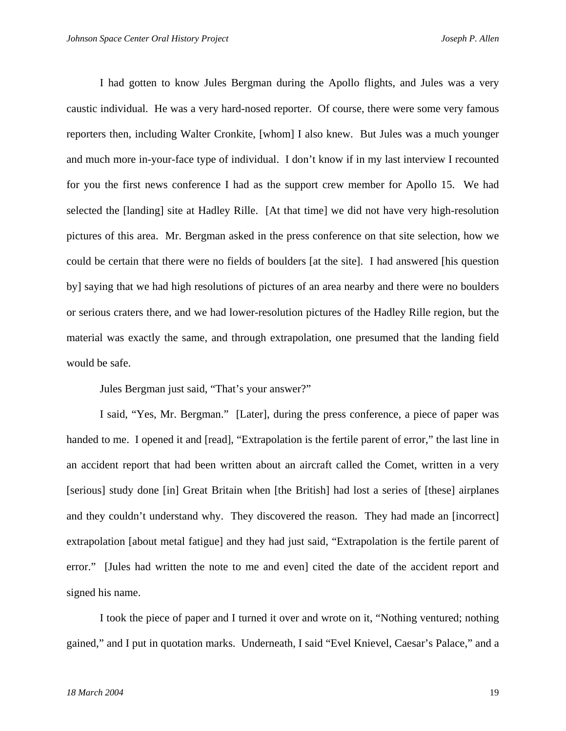I had gotten to know Jules Bergman during the Apollo flights, and Jules was a very caustic individual. He was a very hard-nosed reporter. Of course, there were some very famous reporters then, including Walter Cronkite, [whom] I also knew. But Jules was a much younger and much more in-your-face type of individual. I don't know if in my last interview I recounted for you the first news conference I had as the support crew member for Apollo 15. We had selected the [landing] site at Hadley Rille. [At that time] we did not have very high-resolution pictures of this area. Mr. Bergman asked in the press conference on that site selection, how we could be certain that there were no fields of boulders [at the site]. I had answered [his question by] saying that we had high resolutions of pictures of an area nearby and there were no boulders or serious craters there, and we had lower-resolution pictures of the Hadley Rille region, but the material was exactly the same, and through extrapolation, one presumed that the landing field would be safe.

Jules Bergman just said, "That's your answer?"

I said, "Yes, Mr. Bergman." [Later], during the press conference, a piece of paper was handed to me. I opened it and [read], "Extrapolation is the fertile parent of error," the last line in an accident report that had been written about an aircraft called the Comet, written in a very [serious] study done [in] Great Britain when [the British] had lost a series of [these] airplanes and they couldn't understand why. They discovered the reason. They had made an [incorrect] extrapolation [about metal fatigue] and they had just said, "Extrapolation is the fertile parent of error." [Jules had written the note to me and even] cited the date of the accident report and signed his name.

I took the piece of paper and I turned it over and wrote on it, "Nothing ventured; nothing gained," and I put in quotation marks. Underneath, I said "Evel Knievel, Caesar's Palace," and a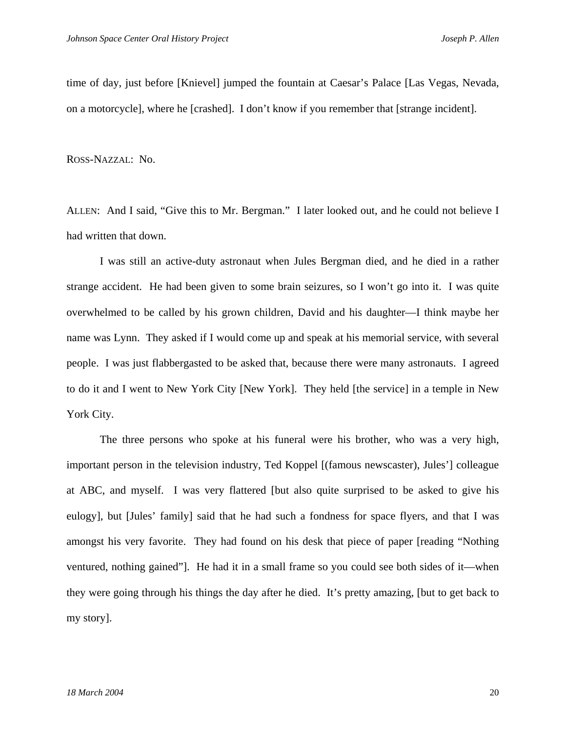time of day, just before [Knievel] jumped the fountain at Caesar's Palace [Las Vegas, Nevada, on a motorcycle], where he [crashed]. I don't know if you remember that [strange incident].

ROSS-NAZZAL: No.

ALLEN: And I said, "Give this to Mr. Bergman." I later looked out, and he could not believe I had written that down.

 I was still an active-duty astronaut when Jules Bergman died, and he died in a rather strange accident. He had been given to some brain seizures, so I won't go into it. I was quite overwhelmed to be called by his grown children, David and his daughter—I think maybe her name was Lynn. They asked if I would come up and speak at his memorial service, with several people. I was just flabbergasted to be asked that, because there were many astronauts. I agreed to do it and I went to New York City [New York]. They held [the service] in a temple in New York City.

The three persons who spoke at his funeral were his brother, who was a very high, important person in the television industry, Ted Koppel [(famous newscaster), Jules'] colleague at ABC, and myself. I was very flattered [but also quite surprised to be asked to give his eulogy], but [Jules' family] said that he had such a fondness for space flyers, and that I was amongst his very favorite. They had found on his desk that piece of paper [reading "Nothing ventured, nothing gained"]. He had it in a small frame so you could see both sides of it—when they were going through his things the day after he died. It's pretty amazing, [but to get back to my story].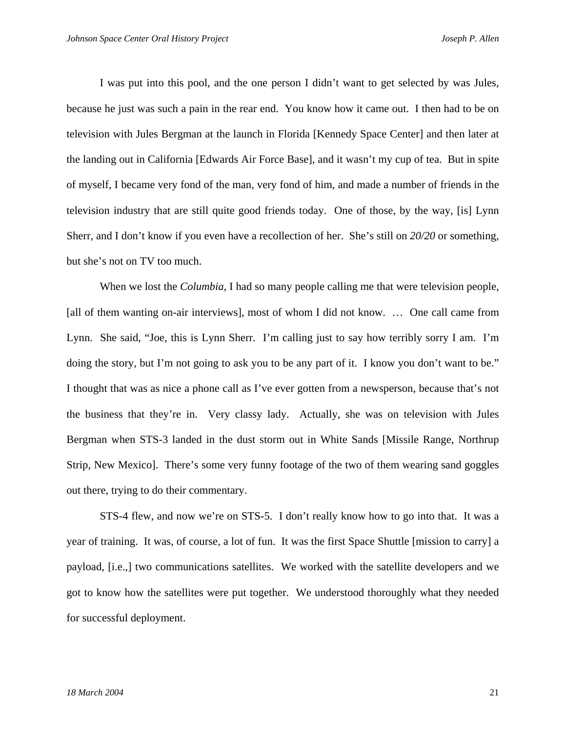I was put into this pool, and the one person I didn't want to get selected by was Jules, because he just was such a pain in the rear end. You know how it came out. I then had to be on television with Jules Bergman at the launch in Florida [Kennedy Space Center] and then later at the landing out in California [Edwards Air Force Base], and it wasn't my cup of tea. But in spite of myself, I became very fond of the man, very fond of him, and made a number of friends in the television industry that are still quite good friends today. One of those, by the way, [is] Lynn Sherr, and I don't know if you even have a recollection of her. She's still on *20/20* or something, but she's not on TV too much.

 When we lost the *Columbia*, I had so many people calling me that were television people, [all of them wanting on-air interviews], most of whom I did not know. ... One call came from Lynn. She said, "Joe, this is Lynn Sherr. I'm calling just to say how terribly sorry I am. I'm doing the story, but I'm not going to ask you to be any part of it. I know you don't want to be." I thought that was as nice a phone call as I've ever gotten from a newsperson, because that's not the business that they're in. Very classy lady. Actually, she was on television with Jules Bergman when STS-3 landed in the dust storm out in White Sands [Missile Range, Northrup Strip, New Mexico]. There's some very funny footage of the two of them wearing sand goggles out there, trying to do their commentary.

 STS-4 flew, and now we're on STS-5. I don't really know how to go into that. It was a year of training. It was, of course, a lot of fun. It was the first Space Shuttle [mission to carry] a payload, [i.e.,] two communications satellites. We worked with the satellite developers and we got to know how the satellites were put together. We understood thoroughly what they needed for successful deployment.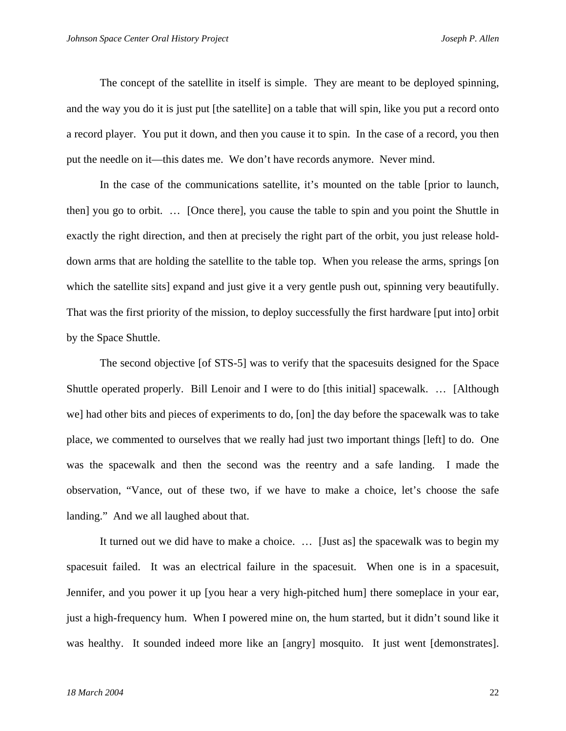The concept of the satellite in itself is simple. They are meant to be deployed spinning, and the way you do it is just put [the satellite] on a table that will spin, like you put a record onto a record player. You put it down, and then you cause it to spin. In the case of a record, you then put the needle on it—this dates me. We don't have records anymore. Never mind.

In the case of the communications satellite, it's mounted on the table [prior to launch, then] you go to orbit. … [Once there], you cause the table to spin and you point the Shuttle in exactly the right direction, and then at precisely the right part of the orbit, you just release holddown arms that are holding the satellite to the table top. When you release the arms, springs [on which the satellite sits] expand and just give it a very gentle push out, spinning very beautifully. That was the first priority of the mission, to deploy successfully the first hardware [put into] orbit by the Space Shuttle.

The second objective [of STS-5] was to verify that the spacesuits designed for the Space Shuttle operated properly. Bill Lenoir and I were to do [this initial] spacewalk. … [Although we] had other bits and pieces of experiments to do, [on] the day before the spacewalk was to take place, we commented to ourselves that we really had just two important things [left] to do. One was the spacewalk and then the second was the reentry and a safe landing. I made the observation, "Vance, out of these two, if we have to make a choice, let's choose the safe landing." And we all laughed about that.

It turned out we did have to make a choice. … [Just as] the spacewalk was to begin my spacesuit failed. It was an electrical failure in the spacesuit. When one is in a spacesuit, Jennifer, and you power it up [you hear a very high-pitched hum] there someplace in your ear, just a high-frequency hum. When I powered mine on, the hum started, but it didn't sound like it was healthy. It sounded indeed more like an [angry] mosquito. It just went [demonstrates].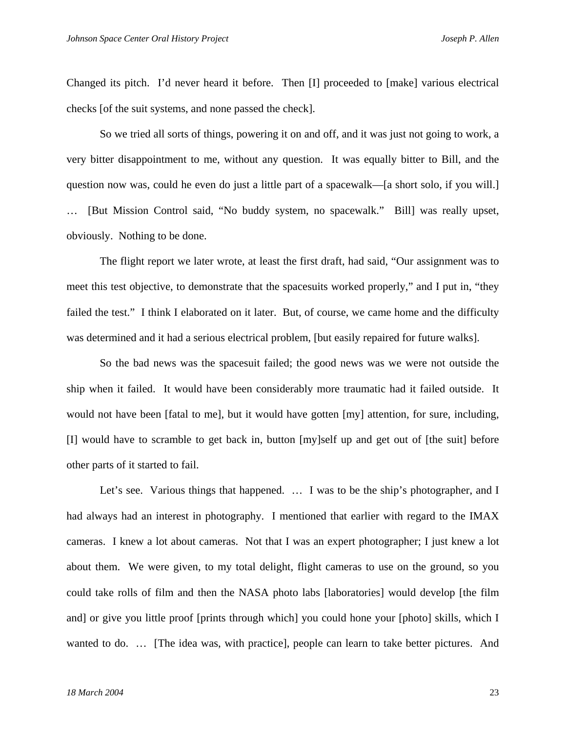Changed its pitch. I'd never heard it before. Then [I] proceeded to [make] various electrical checks [of the suit systems, and none passed the check].

So we tried all sorts of things, powering it on and off, and it was just not going to work, a very bitter disappointment to me, without any question. It was equally bitter to Bill, and the question now was, could he even do just a little part of a spacewalk—[a short solo, if you will.] … [But Mission Control said, "No buddy system, no spacewalk." Bill] was really upset, obviously. Nothing to be done.

The flight report we later wrote, at least the first draft, had said, "Our assignment was to meet this test objective, to demonstrate that the spacesuits worked properly," and I put in, "they failed the test." I think I elaborated on it later. But, of course, we came home and the difficulty was determined and it had a serious electrical problem, [but easily repaired for future walks].

So the bad news was the spacesuit failed; the good news was we were not outside the ship when it failed. It would have been considerably more traumatic had it failed outside. It would not have been [fatal to me], but it would have gotten [my] attention, for sure, including, [I] would have to scramble to get back in, button [my]self up and get out of [the suit] before other parts of it started to fail.

Let's see. Various things that happened. ... I was to be the ship's photographer, and I had always had an interest in photography. I mentioned that earlier with regard to the IMAX cameras. I knew a lot about cameras. Not that I was an expert photographer; I just knew a lot about them. We were given, to my total delight, flight cameras to use on the ground, so you could take rolls of film and then the NASA photo labs [laboratories] would develop [the film and] or give you little proof [prints through which] you could hone your [photo] skills, which I wanted to do. … [The idea was, with practice], people can learn to take better pictures. And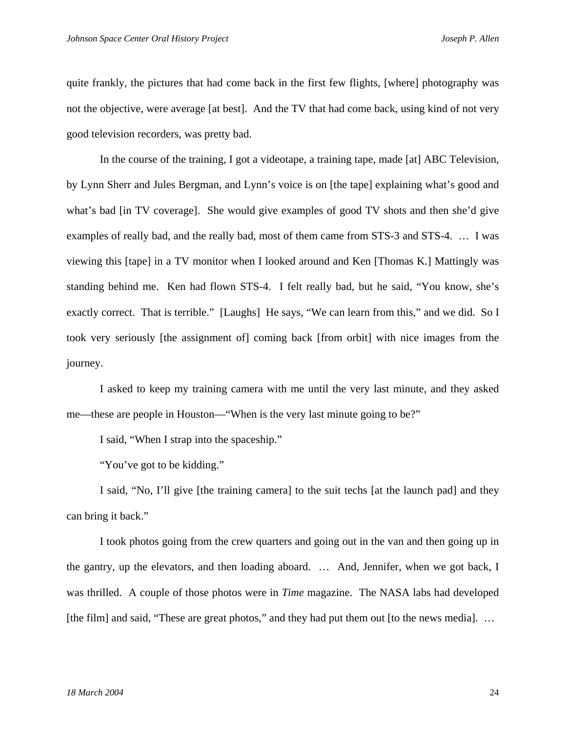quite frankly, the pictures that had come back in the first few flights, [where] photography was not the objective, were average [at best]. And the TV that had come back, using kind of not very good television recorders, was pretty bad.

In the course of the training, I got a videotape, a training tape, made [at] ABC Television, by Lynn Sherr and Jules Bergman, and Lynn's voice is on [the tape] explaining what's good and what's bad [in TV coverage]. She would give examples of good TV shots and then she'd give examples of really bad, and the really bad, most of them came from STS-3 and STS-4. … I was viewing this [tape] in a TV monitor when I looked around and Ken [Thomas K.] Mattingly was standing behind me. Ken had flown STS-4. I felt really bad, but he said, "You know, she's exactly correct. That is terrible." [Laughs] He says, "We can learn from this," and we did. So I took very seriously [the assignment of] coming back [from orbit] with nice images from the journey.

I asked to keep my training camera with me until the very last minute, and they asked me—these are people in Houston—"When is the very last minute going to be?"

I said, "When I strap into the spaceship."

"You've got to be kidding."

I said, "No, I'll give [the training camera] to the suit techs [at the launch pad] and they can bring it back."

I took photos going from the crew quarters and going out in the van and then going up in the gantry, up the elevators, and then loading aboard. … And, Jennifer, when we got back, I was thrilled. A couple of those photos were in *Time* magazine. The NASA labs had developed [the film] and said, "These are great photos," and they had put them out [to the news media]. ...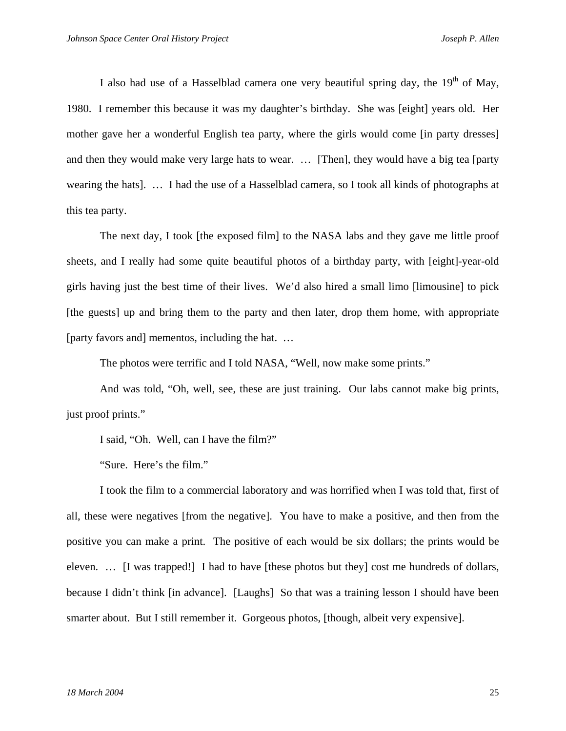I also had use of a Hasselblad camera one very beautiful spring day, the  $19<sup>th</sup>$  of May, 1980. I remember this because it was my daughter's birthday. She was [eight] years old. Her mother gave her a wonderful English tea party, where the girls would come [in party dresses] and then they would make very large hats to wear. … [Then], they would have a big tea [party wearing the hats]. … I had the use of a Hasselblad camera, so I took all kinds of photographs at this tea party.

The next day, I took [the exposed film] to the NASA labs and they gave me little proof sheets, and I really had some quite beautiful photos of a birthday party, with [eight]-year-old girls having just the best time of their lives. We'd also hired a small limo [limousine] to pick [the guests] up and bring them to the party and then later, drop them home, with appropriate [party favors and] mementos, including the hat. …

The photos were terrific and I told NASA, "Well, now make some prints."

And was told, "Oh, well, see, these are just training. Our labs cannot make big prints, just proof prints."

I said, "Oh. Well, can I have the film?"

"Sure. Here's the film."

I took the film to a commercial laboratory and was horrified when I was told that, first of all, these were negatives [from the negative]. You have to make a positive, and then from the positive you can make a print. The positive of each would be six dollars; the prints would be eleven. … [I was trapped!] I had to have [these photos but they] cost me hundreds of dollars, because I didn't think [in advance]. [Laughs] So that was a training lesson I should have been smarter about. But I still remember it. Gorgeous photos, [though, albeit very expensive].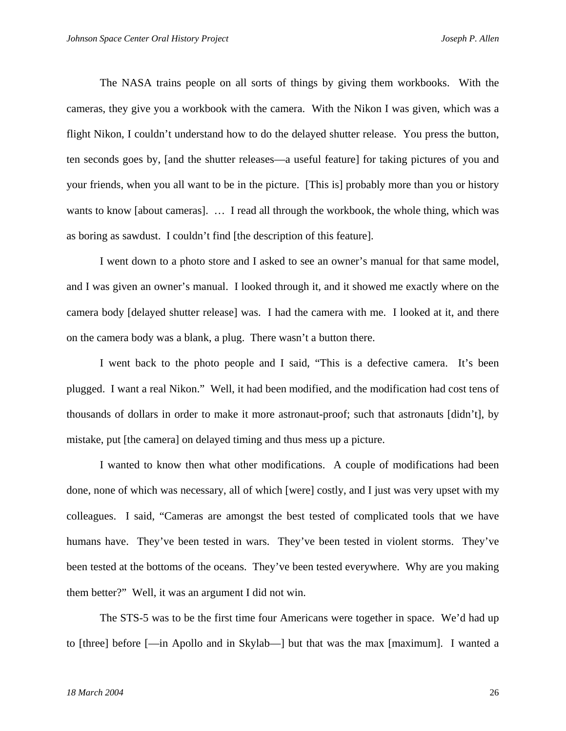The NASA trains people on all sorts of things by giving them workbooks. With the cameras, they give you a workbook with the camera. With the Nikon I was given, which was a flight Nikon, I couldn't understand how to do the delayed shutter release. You press the button, ten seconds goes by, [and the shutter releases—a useful feature] for taking pictures of you and your friends, when you all want to be in the picture. [This is] probably more than you or history wants to know [about cameras]. … I read all through the workbook, the whole thing, which was as boring as sawdust. I couldn't find [the description of this feature].

I went down to a photo store and I asked to see an owner's manual for that same model, and I was given an owner's manual. I looked through it, and it showed me exactly where on the camera body [delayed shutter release] was. I had the camera with me. I looked at it, and there on the camera body was a blank, a plug. There wasn't a button there.

I went back to the photo people and I said, "This is a defective camera. It's been plugged. I want a real Nikon." Well, it had been modified, and the modification had cost tens of thousands of dollars in order to make it more astronaut-proof; such that astronauts [didn't], by mistake, put [the camera] on delayed timing and thus mess up a picture.

I wanted to know then what other modifications. A couple of modifications had been done, none of which was necessary, all of which [were] costly, and I just was very upset with my colleagues. I said, "Cameras are amongst the best tested of complicated tools that we have humans have. They've been tested in wars. They've been tested in violent storms. They've been tested at the bottoms of the oceans. They've been tested everywhere. Why are you making them better?" Well, it was an argument I did not win.

The STS-5 was to be the first time four Americans were together in space. We'd had up to [three] before [—in Apollo and in Skylab—] but that was the max [maximum]. I wanted a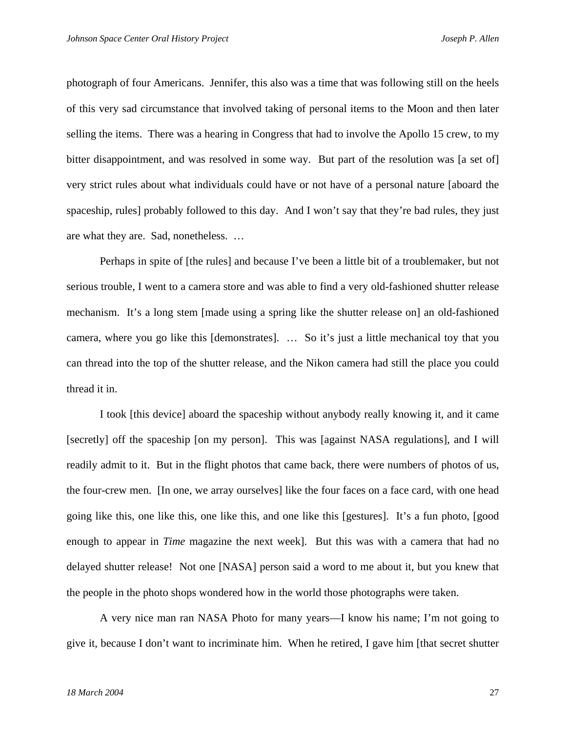photograph of four Americans. Jennifer, this also was a time that was following still on the heels of this very sad circumstance that involved taking of personal items to the Moon and then later selling the items. There was a hearing in Congress that had to involve the Apollo 15 crew, to my bitter disappointment, and was resolved in some way. But part of the resolution was [a set of] very strict rules about what individuals could have or not have of a personal nature [aboard the spaceship, rules] probably followed to this day. And I won't say that they're bad rules, they just are what they are. Sad, nonetheless. …

Perhaps in spite of [the rules] and because I've been a little bit of a troublemaker, but not serious trouble, I went to a camera store and was able to find a very old-fashioned shutter release mechanism. It's a long stem [made using a spring like the shutter release on] an old-fashioned camera, where you go like this [demonstrates]. … So it's just a little mechanical toy that you can thread into the top of the shutter release, and the Nikon camera had still the place you could thread it in.

I took [this device] aboard the spaceship without anybody really knowing it, and it came [secretly] off the spaceship [on my person]. This was [against NASA regulations], and I will readily admit to it. But in the flight photos that came back, there were numbers of photos of us, the four-crew men. [In one, we array ourselves] like the four faces on a face card, with one head going like this, one like this, one like this, and one like this [gestures]. It's a fun photo, [good enough to appear in *Time* magazine the next week]. But this was with a camera that had no delayed shutter release! Not one [NASA] person said a word to me about it, but you knew that the people in the photo shops wondered how in the world those photographs were taken.

A very nice man ran NASA Photo for many years—I know his name; I'm not going to give it, because I don't want to incriminate him. When he retired, I gave him [that secret shutter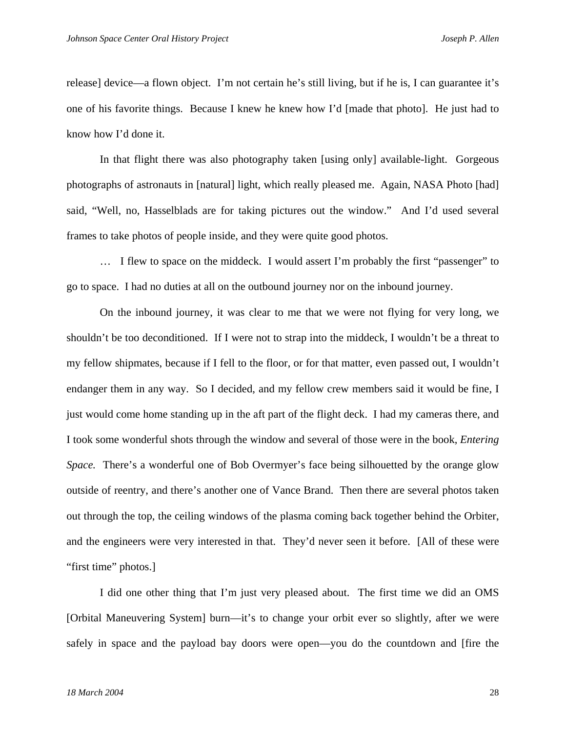release] device—a flown object. I'm not certain he's still living, but if he is, I can guarantee it's one of his favorite things. Because I knew he knew how I'd [made that photo]. He just had to know how I'd done it.

In that flight there was also photography taken [using only] available-light. Gorgeous photographs of astronauts in [natural] light, which really pleased me. Again, NASA Photo [had] said, "Well, no, Hasselblads are for taking pictures out the window." And I'd used several frames to take photos of people inside, and they were quite good photos.

… I flew to space on the middeck. I would assert I'm probably the first "passenger" to go to space. I had no duties at all on the outbound journey nor on the inbound journey.

On the inbound journey, it was clear to me that we were not flying for very long, we shouldn't be too deconditioned. If I were not to strap into the middeck, I wouldn't be a threat to my fellow shipmates, because if I fell to the floor, or for that matter, even passed out, I wouldn't endanger them in any way. So I decided, and my fellow crew members said it would be fine, I just would come home standing up in the aft part of the flight deck. I had my cameras there, and I took some wonderful shots through the window and several of those were in the book, *Entering Space.* There's a wonderful one of Bob Overmyer's face being silhouetted by the orange glow outside of reentry, and there's another one of Vance Brand. Then there are several photos taken out through the top, the ceiling windows of the plasma coming back together behind the Orbiter, and the engineers were very interested in that. They'd never seen it before. [All of these were "first time" photos.]

I did one other thing that I'm just very pleased about. The first time we did an OMS [Orbital Maneuvering System] burn—it's to change your orbit ever so slightly, after we were safely in space and the payload bay doors were open—you do the countdown and [fire the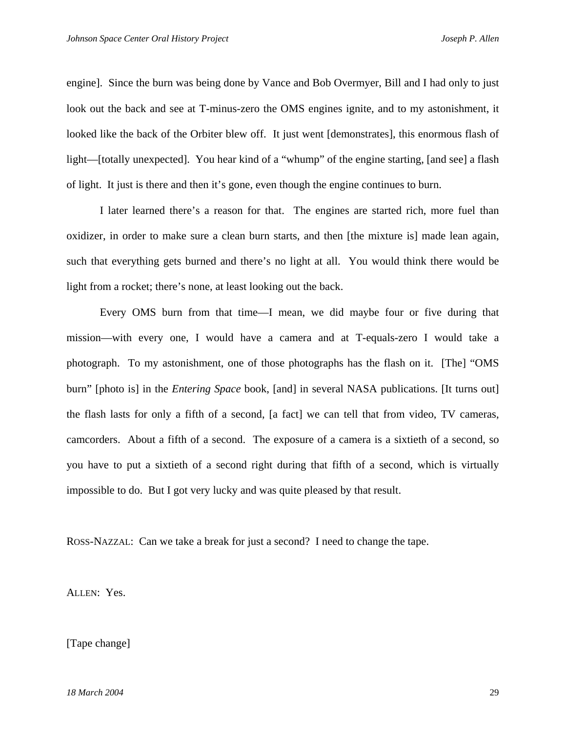engine]. Since the burn was being done by Vance and Bob Overmyer, Bill and I had only to just look out the back and see at T-minus-zero the OMS engines ignite, and to my astonishment, it looked like the back of the Orbiter blew off. It just went [demonstrates], this enormous flash of light—[totally unexpected]. You hear kind of a "whump" of the engine starting, [and see] a flash of light. It just is there and then it's gone, even though the engine continues to burn.

I later learned there's a reason for that. The engines are started rich, more fuel than oxidizer, in order to make sure a clean burn starts, and then [the mixture is] made lean again, such that everything gets burned and there's no light at all. You would think there would be light from a rocket; there's none, at least looking out the back.

Every OMS burn from that time—I mean, we did maybe four or five during that mission—with every one, I would have a camera and at T-equals-zero I would take a photograph. To my astonishment, one of those photographs has the flash on it. [The] "OMS burn" [photo is] in the *Entering Space* book, [and] in several NASA publications. [It turns out] the flash lasts for only a fifth of a second, [a fact] we can tell that from video, TV cameras, camcorders. About a fifth of a second. The exposure of a camera is a sixtieth of a second, so you have to put a sixtieth of a second right during that fifth of a second, which is virtually impossible to do. But I got very lucky and was quite pleased by that result.

ROSS-NAZZAL: Can we take a break for just a second? I need to change the tape.

ALLEN: Yes.

[Tape change]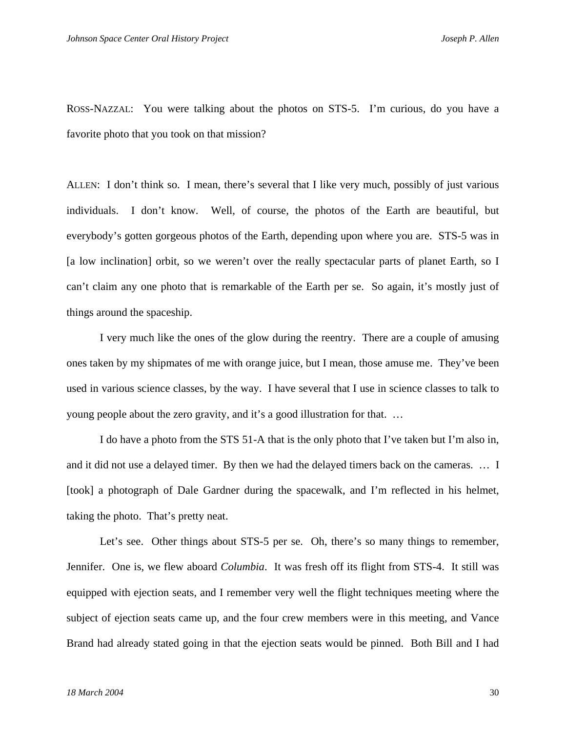ROSS-NAZZAL: You were talking about the photos on STS-5. I'm curious, do you have a favorite photo that you took on that mission?

ALLEN: I don't think so. I mean, there's several that I like very much, possibly of just various individuals. I don't know. Well, of course, the photos of the Earth are beautiful, but everybody's gotten gorgeous photos of the Earth, depending upon where you are. STS-5 was in [a low inclination] orbit, so we weren't over the really spectacular parts of planet Earth, so I can't claim any one photo that is remarkable of the Earth per se. So again, it's mostly just of things around the spaceship.

 I very much like the ones of the glow during the reentry. There are a couple of amusing ones taken by my shipmates of me with orange juice, but I mean, those amuse me. They've been used in various science classes, by the way. I have several that I use in science classes to talk to young people about the zero gravity, and it's a good illustration for that. …

 I do have a photo from the STS 51-A that is the only photo that I've taken but I'm also in, and it did not use a delayed timer. By then we had the delayed timers back on the cameras. … I [took] a photograph of Dale Gardner during the spacewalk, and I'm reflected in his helmet, taking the photo. That's pretty neat.

Let's see. Other things about STS-5 per se. Oh, there's so many things to remember, Jennifer. One is, we flew aboard *Columbia*. It was fresh off its flight from STS-4. It still was equipped with ejection seats, and I remember very well the flight techniques meeting where the subject of ejection seats came up, and the four crew members were in this meeting, and Vance Brand had already stated going in that the ejection seats would be pinned. Both Bill and I had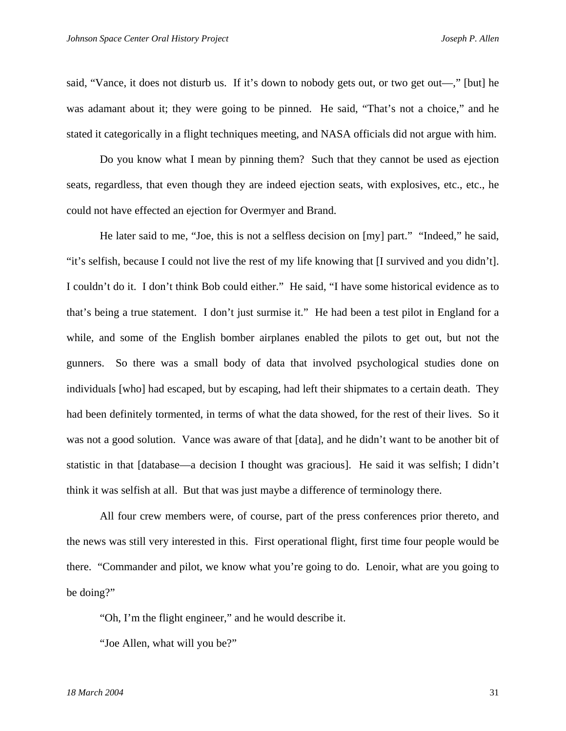said, "Vance, it does not disturb us. If it's down to nobody gets out, or two get out—," [but] he was adamant about it; they were going to be pinned. He said, "That's not a choice," and he stated it categorically in a flight techniques meeting, and NASA officials did not argue with him.

 Do you know what I mean by pinning them? Such that they cannot be used as ejection seats, regardless, that even though they are indeed ejection seats, with explosives, etc., etc., he could not have effected an ejection for Overmyer and Brand.

 He later said to me, "Joe, this is not a selfless decision on [my] part." "Indeed," he said, "it's selfish, because I could not live the rest of my life knowing that [I survived and you didn't]. I couldn't do it. I don't think Bob could either." He said, "I have some historical evidence as to that's being a true statement. I don't just surmise it." He had been a test pilot in England for a while, and some of the English bomber airplanes enabled the pilots to get out, but not the gunners. So there was a small body of data that involved psychological studies done on individuals [who] had escaped, but by escaping, had left their shipmates to a certain death. They had been definitely tormented, in terms of what the data showed, for the rest of their lives. So it was not a good solution. Vance was aware of that [data], and he didn't want to be another bit of statistic in that [database—a decision I thought was gracious]. He said it was selfish; I didn't think it was selfish at all. But that was just maybe a difference of terminology there.

 All four crew members were, of course, part of the press conferences prior thereto, and the news was still very interested in this. First operational flight, first time four people would be there. "Commander and pilot, we know what you're going to do. Lenoir, what are you going to be doing?"

"Oh, I'm the flight engineer," and he would describe it.

"Joe Allen, what will you be?"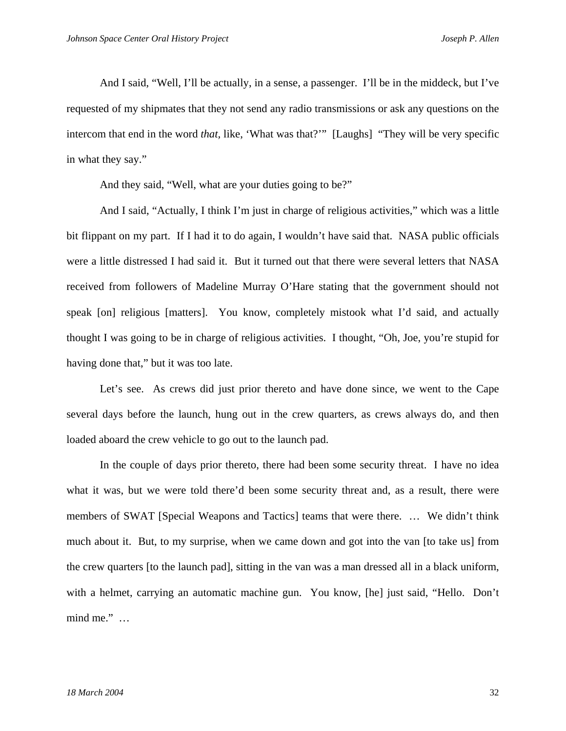And I said, "Well, I'll be actually, in a sense, a passenger. I'll be in the middeck, but I've requested of my shipmates that they not send any radio transmissions or ask any questions on the intercom that end in the word *that,* like, 'What was that?'" [Laughs] "They will be very specific in what they say."

And they said, "Well, what are your duties going to be?"

 And I said, "Actually, I think I'm just in charge of religious activities," which was a little bit flippant on my part. If I had it to do again, I wouldn't have said that. NASA public officials were a little distressed I had said it. But it turned out that there were several letters that NASA received from followers of Madeline Murray O'Hare stating that the government should not speak [on] religious [matters]. You know, completely mistook what I'd said, and actually thought I was going to be in charge of religious activities. I thought, "Oh, Joe, you're stupid for having done that," but it was too late.

 Let's see. As crews did just prior thereto and have done since, we went to the Cape several days before the launch, hung out in the crew quarters, as crews always do, and then loaded aboard the crew vehicle to go out to the launch pad.

In the couple of days prior thereto, there had been some security threat. I have no idea what it was, but we were told there'd been some security threat and, as a result, there were members of SWAT [Special Weapons and Tactics] teams that were there. … We didn't think much about it. But, to my surprise, when we came down and got into the van [to take us] from the crew quarters [to the launch pad], sitting in the van was a man dressed all in a black uniform, with a helmet, carrying an automatic machine gun. You know, [he] just said, "Hello. Don't mind me." …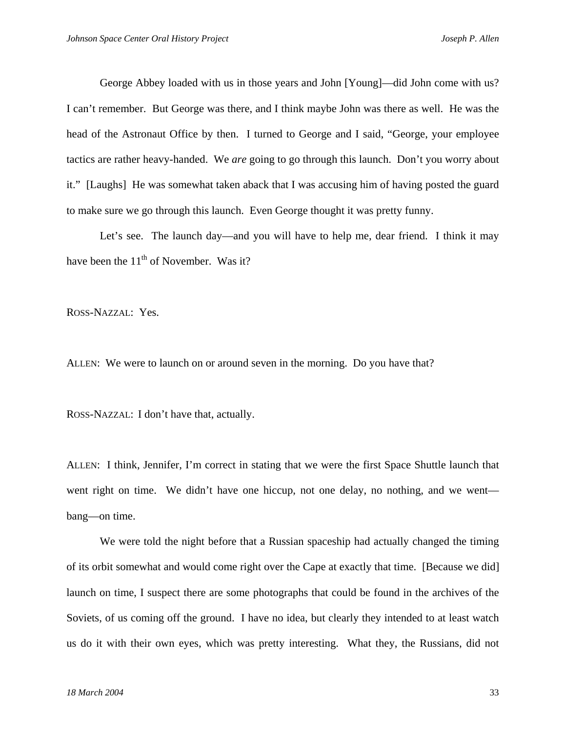George Abbey loaded with us in those years and John [Young]—did John come with us? I can't remember. But George was there, and I think maybe John was there as well. He was the head of the Astronaut Office by then. I turned to George and I said, "George, your employee tactics are rather heavy-handed. We *are* going to go through this launch. Don't you worry about it." [Laughs] He was somewhat taken aback that I was accusing him of having posted the guard to make sure we go through this launch. Even George thought it was pretty funny.

Let's see. The launch day—and you will have to help me, dear friend. I think it may have been the  $11<sup>th</sup>$  of November. Was it?

ROSS-NAZZAL: Yes.

ALLEN: We were to launch on or around seven in the morning. Do you have that?

ROSS-NAZZAL: I don't have that, actually.

ALLEN: I think, Jennifer, I'm correct in stating that we were the first Space Shuttle launch that went right on time. We didn't have one hiccup, not one delay, no nothing, and we went bang—on time.

 We were told the night before that a Russian spaceship had actually changed the timing of its orbit somewhat and would come right over the Cape at exactly that time. [Because we did] launch on time, I suspect there are some photographs that could be found in the archives of the Soviets, of us coming off the ground. I have no idea, but clearly they intended to at least watch us do it with their own eyes, which was pretty interesting. What they, the Russians, did not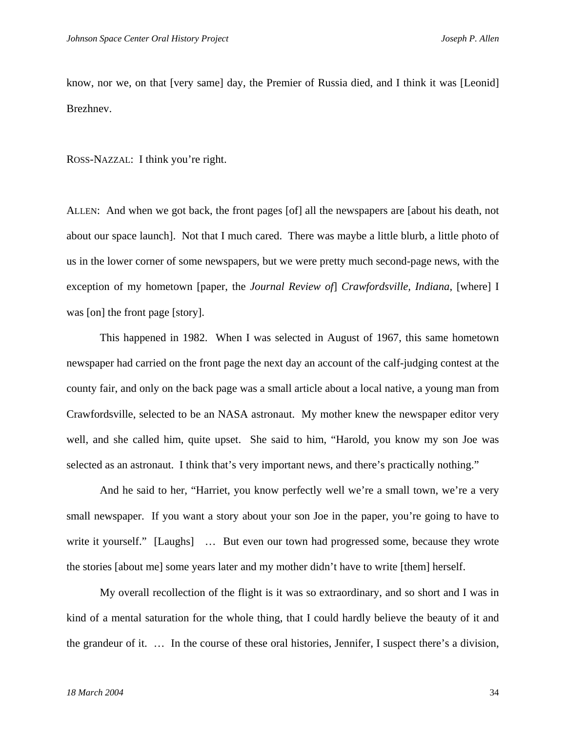know, nor we, on that [very same] day, the Premier of Russia died, and I think it was [Leonid] Brezhnev.

ROSS-NAZZAL: I think you're right.

ALLEN: And when we got back, the front pages [of] all the newspapers are [about his death, not about our space launch]. Not that I much cared. There was maybe a little blurb, a little photo of us in the lower corner of some newspapers, but we were pretty much second-page news, with the exception of my hometown [paper, the *Journal Review of*] *Crawfordsville, Indiana*, [where] I was [on] the front page [story].

 This happened in 1982. When I was selected in August of 1967, this same hometown newspaper had carried on the front page the next day an account of the calf-judging contest at the county fair, and only on the back page was a small article about a local native, a young man from Crawfordsville, selected to be an NASA astronaut. My mother knew the newspaper editor very well, and she called him, quite upset. She said to him, "Harold, you know my son Joe was selected as an astronaut. I think that's very important news, and there's practically nothing."

 And he said to her, "Harriet, you know perfectly well we're a small town, we're a very small newspaper. If you want a story about your son Joe in the paper, you're going to have to write it yourself." [Laughs] ... But even our town had progressed some, because they wrote the stories [about me] some years later and my mother didn't have to write [them] herself.

 My overall recollection of the flight is it was so extraordinary, and so short and I was in kind of a mental saturation for the whole thing, that I could hardly believe the beauty of it and the grandeur of it. … In the course of these oral histories, Jennifer, I suspect there's a division,